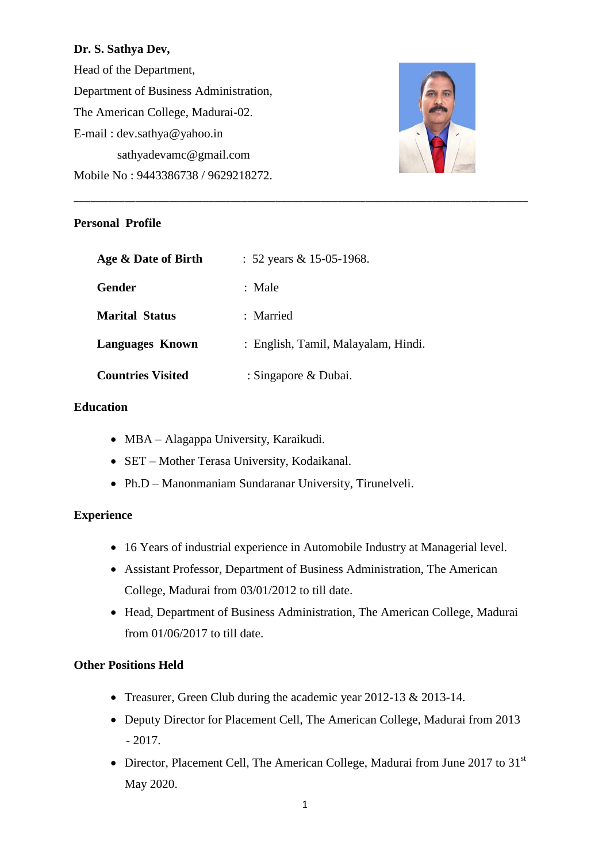### **Dr. S. Sathya Dev,**

Head of the Department, Department of Business Administration, The American College, Madurai-02. E-mail : [dev.sathya@yahoo.in](mailto:dev.sathya@yahoo.in) sathyadevamc@gmail.com Mobile No : 9443386738 / 9629218272.



# **Personal Profile**

| Age & Date of Birth      | : 52 years & 15-05-1968.            |
|--------------------------|-------------------------------------|
| Gender                   | : Male                              |
| <b>Marital Status</b>    | : Married                           |
| <b>Languages Known</b>   | : English, Tamil, Malayalam, Hindi. |
| <b>Countries Visited</b> | : Singapore & Dubai.                |

\_\_\_\_\_\_\_\_\_\_\_\_\_\_\_\_\_\_\_\_\_\_\_\_\_\_\_\_\_\_\_\_\_\_\_\_\_\_\_\_\_\_\_\_\_\_\_\_\_\_\_\_\_\_\_\_\_\_\_\_\_\_\_\_\_\_\_\_\_\_\_\_\_\_\_\_\_\_\_\_\_

# **Education**

- MBA Alagappa University, Karaikudi.
- SET Mother Terasa University, Kodaikanal.
- Ph.D Manonmaniam Sundaranar University, Tirunelveli.

## **Experience**

- 16 Years of industrial experience in Automobile Industry at Managerial level.
- Assistant Professor, Department of Business Administration, The American College, Madurai from 03/01/2012 to till date.
- Head, Department of Business Administration, The American College, Madurai from 01/06/2017 to till date.

## **Other Positions Held**

- Treasurer, Green Club during the academic year 2012-13 & 2013-14.
- Deputy Director for Placement Cell, The American College, Madurai from 2013 - 2017.
- Director, Placement Cell, The American College, Madurai from June 2017 to 31<sup>st</sup> May 2020.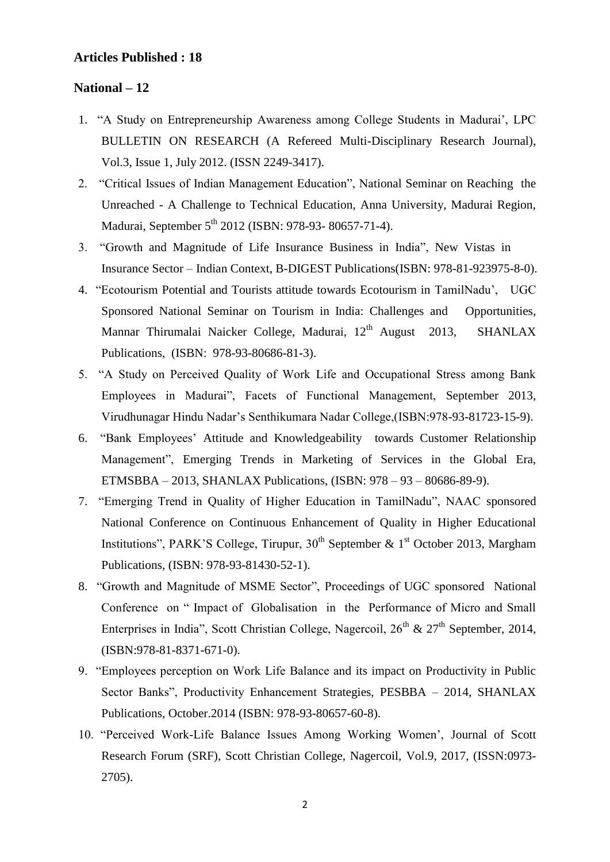### **Articles Published : 18**

### **National – 12**

- 1. "A Study on Entrepreneurship Awareness among College Students in Madurai", LPC BULLETIN ON RESEARCH (A Refereed Multi-Disciplinary Research Journal), Vol.3, Issue 1, July 2012. (ISSN 2249-3417).
- 2. "Critical Issues of Indian Management Education", National Seminar on Reaching the Unreached - A Challenge to Technical Education, Anna University, Madurai Region, Madurai, September 5<sup>th</sup> 2012 (ISBN: 978-93- 80657-71-4).
- 3. "Growth and Magnitude of Life Insurance Business in India", New Vistas in Insurance Sector – Indian Context, B-DIGEST Publications(ISBN: 978-81-923975-8-0).
- 4. "Ecotourism Potential and Tourists attitude towards Ecotourism in TamilNadu", UGC Sponsored National Seminar on Tourism in India: Challenges and Opportunities, Mannar Thirumalai Naicker College, Madurai, 12<sup>th</sup> August 2013, SHANLAX Publications, (ISBN: 978-93-80686-81-3).
- 5. "A Study on Perceived Quality of Work Life and Occupational Stress among Bank Employees in Madurai", Facets of Functional Management, September 2013, Virudhunagar Hindu Nadar"s Senthikumara Nadar College,(ISBN:978-93-81723-15-9).
- 6. "Bank Employees" Attitude and Knowledgeability towards Customer Relationship Management", Emerging Trends in Marketing of Services in the Global Era, ETMSBBA – 2013, SHANLAX Publications, (ISBN: 978 – 93 – 80686-89-9).
- 7. "Emerging Trend in Quality of Higher Education in TamilNadu", NAAC sponsored National Conference on Continuous Enhancement of Quality in Higher Educational Institutions", PARK'S College, Tirupur,  $30<sup>th</sup>$  September &  $1<sup>st</sup>$  October 2013, Margham Publications, (ISBN: 978-93-81430-52-1).
- 8. "Growth and Magnitude of MSME Sector", Proceedings of UGC sponsored National Conference on " Impact of Globalisation in the Performance of Micro and Small Enterprises in India", Scott Christian College, Nagercoil,  $26<sup>th</sup>$  &  $27<sup>th</sup>$  September, 2014, (ISBN:978-81-8371-671-0).
- 9. "Employees perception on Work Life Balance and its impact on Productivity in Public Sector Banks", Productivity Enhancement Strategies, PESBBA – 2014, SHANLAX Publications, October.2014 (ISBN: 978-93-80657-60-8).
- 10. "Perceived Work-Life Balance Issues Among Working Women", Journal of Scott Research Forum (SRF), Scott Christian College, Nagercoil, Vol.9, 2017, (ISSN:0973- 2705).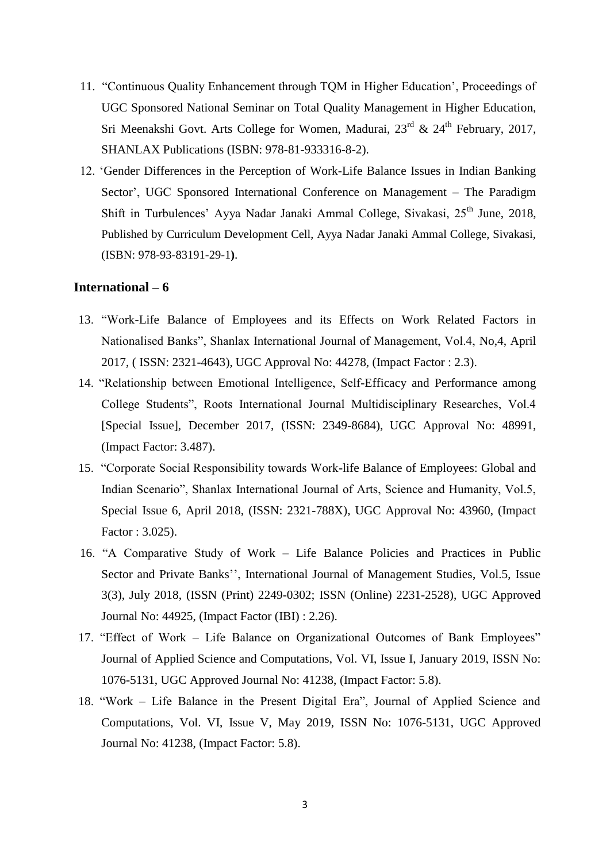- 11. "Continuous Quality Enhancement through TQM in Higher Education", Proceedings of UGC Sponsored National Seminar on Total Quality Management in Higher Education, Sri Meenakshi Govt. Arts College for Women, Madurai,  $23<sup>rd</sup> \& 24<sup>th</sup>$  February, 2017, SHANLAX Publications (ISBN: 978-81-933316-8-2).
- 12. "Gender Differences in the Perception of Work-Life Balance Issues in Indian Banking Sector', UGC Sponsored International Conference on Management – The Paradigm Shift in Turbulences' Ayya Nadar Janaki Ammal College, Sivakasi, 25<sup>th</sup> June, 2018, Published by Curriculum Development Cell, Ayya Nadar Janaki Ammal College, Sivakasi, (ISBN: 978-93-83191-29-1**)**.

#### **International – 6**

- 13. "Work-Life Balance of Employees and its Effects on Work Related Factors in Nationalised Banks", Shanlax International Journal of Management, Vol.4, No,4, April 2017, ( ISSN: 2321-4643), UGC Approval No: 44278, (Impact Factor : 2.3).
- 14. "Relationship between Emotional Intelligence, Self-Efficacy and Performance among College Students", Roots International Journal Multidisciplinary Researches, Vol.4 [Special Issue], December 2017, (ISSN: 2349-8684), UGC Approval No: 48991, (Impact Factor: 3.487).
- 15. "Corporate Social Responsibility towards Work-life Balance of Employees: Global and Indian Scenario", Shanlax International Journal of Arts, Science and Humanity, Vol.5, Special Issue 6, April 2018, (ISSN: 2321-788X), UGC Approval No: 43960, (Impact Factor : 3.025).
- 16. "A Comparative Study of Work Life Balance Policies and Practices in Public Sector and Private Banks", International Journal of Management Studies, Vol.5, Issue 3(3), July 2018, (ISSN (Print) 2249-0302; ISSN (Online) 2231-2528), UGC Approved Journal No: 44925, (Impact Factor (IBI) : 2.26).
- 17. "Effect of Work Life Balance on Organizational Outcomes of Bank Employees" Journal of Applied Science and Computations, Vol. VI, Issue I, January 2019, ISSN No: 1076-5131, UGC Approved Journal No: 41238, (Impact Factor: 5.8).
- 18. "Work Life Balance in the Present Digital Era", Journal of Applied Science and Computations, Vol. VI, Issue V, May 2019, ISSN No: 1076-5131, UGC Approved Journal No: 41238, (Impact Factor: 5.8).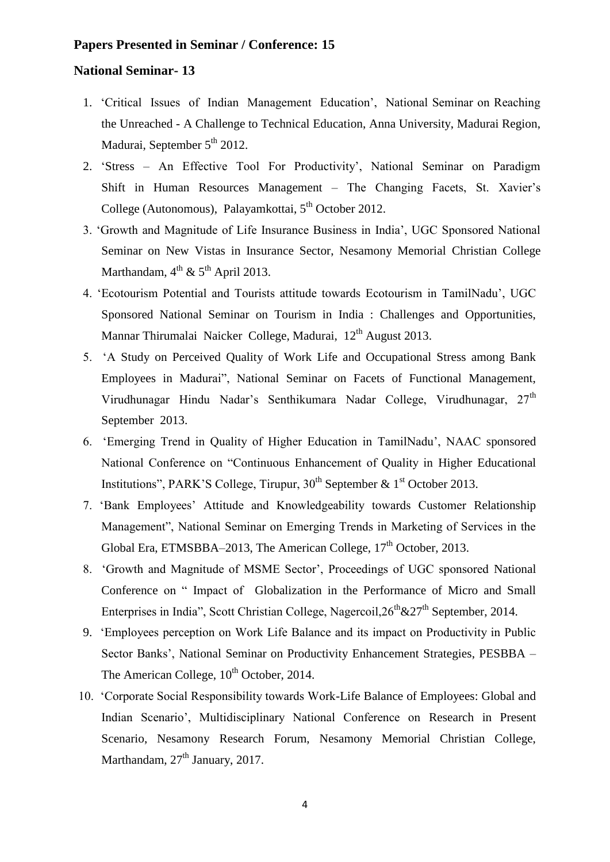## **Papers Presented in Seminar / Conference: 15**

#### **National Seminar- 13**

- 1. "Critical Issues of Indian Management Education", National Seminar on Reaching the Unreached - A Challenge to Technical Education, Anna University, Madurai Region, Madurai, September  $5<sup>th</sup>$  2012.
- 2. "Stress An Effective Tool For Productivity", National Seminar on Paradigm Shift in Human Resources Management – The Changing Facets, St. Xavier"s College (Autonomous), Palayamkottai,  $5<sup>th</sup>$  October 2012.
- 3. "Growth and Magnitude of Life Insurance Business in India", UGC Sponsored National Seminar on New Vistas in Insurance Sector, Nesamony Memorial Christian College Marthandam,  $4^{th}$  &  $5^{th}$  April 2013.
- 4. "Ecotourism Potential and Tourists attitude towards Ecotourism in TamilNadu", UGC Sponsored National Seminar on Tourism in India : Challenges and Opportunities, Mannar Thirumalai Naicker College, Madurai, 12<sup>th</sup> August 2013.
- 5. "A Study on Perceived Quality of Work Life and Occupational Stress among Bank Employees in Madurai", National Seminar on Facets of Functional Management, Virudhunagar Hindu Nadar's Senthikumara Nadar College, Virudhunagar, 27<sup>th</sup> September 2013.
- 6. "Emerging Trend in Quality of Higher Education in TamilNadu", NAAC sponsored National Conference on "Continuous Enhancement of Quality in Higher Educational Institutions", PARK'S College, Tirupur,  $30<sup>th</sup>$  September &  $1<sup>st</sup>$  October 2013.
- 7. "Bank Employees" Attitude and Knowledgeability towards Customer Relationship Management", National Seminar on Emerging Trends in Marketing of Services in the Global Era, ETMSBBA–2013, The American College,  $17<sup>th</sup>$  October, 2013.
- 8. "Growth and Magnitude of MSME Sector", Proceedings of UGC sponsored National Conference on " Impact of Globalization in the Performance of Micro and Small Enterprises in India", Scott Christian College, Nagercoil,  $26^{th}$  &  $27^{th}$  September, 2014.
- 9. "Employees perception on Work Life Balance and its impact on Productivity in Public Sector Banks', National Seminar on Productivity Enhancement Strategies, PESBBA – The American College,  $10^{th}$  October, 2014.
- 10. "Corporate Social Responsibility towards Work-Life Balance of Employees: Global and Indian Scenario", Multidisciplinary National Conference on Research in Present Scenario, Nesamony Research Forum, Nesamony Memorial Christian College, Marthandam,  $27<sup>th</sup>$  January, 2017.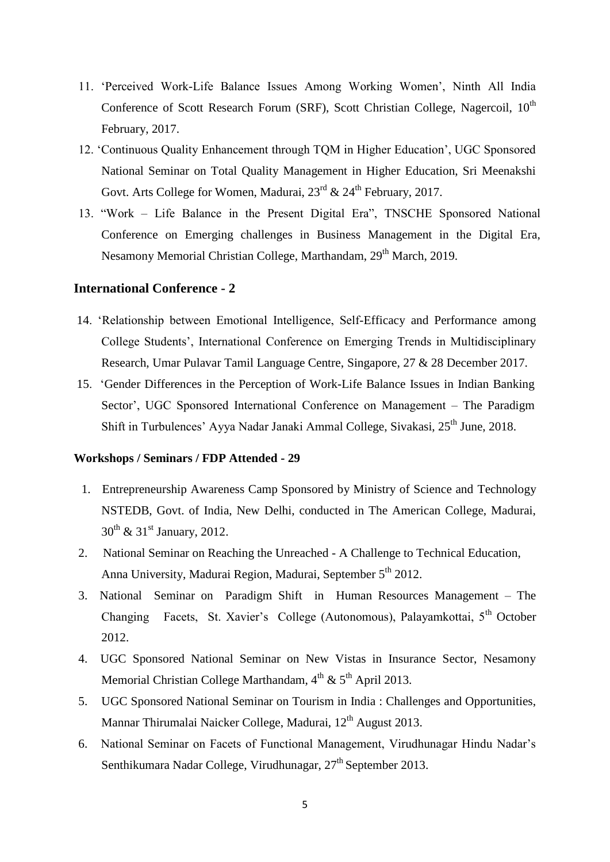- 11. "Perceived Work-Life Balance Issues Among Working Women", Ninth All India Conference of Scott Research Forum (SRF), Scott Christian College, Nagercoil,  $10^{th}$ February, 2017.
- 12. "Continuous Quality Enhancement through TQM in Higher Education", UGC Sponsored National Seminar on Total Quality Management in Higher Education, Sri Meenakshi Govt. Arts College for Women, Madurai,  $23<sup>rd</sup>$  &  $24<sup>th</sup>$  February, 2017.
- 13. "Work Life Balance in the Present Digital Era", TNSCHE Sponsored National Conference on Emerging challenges in Business Management in the Digital Era, Nesamony Memorial Christian College, Marthandam, 29<sup>th</sup> March, 2019.

## **International Conference - 2**

- 14. "Relationship between Emotional Intelligence, Self-Efficacy and Performance among College Students", International Conference on Emerging Trends in Multidisciplinary Research, Umar Pulavar Tamil Language Centre, Singapore, 27 & 28 December 2017.
- 15. "Gender Differences in the Perception of Work-Life Balance Issues in Indian Banking Sector", UGC Sponsored International Conference on Management – The Paradigm Shift in Turbulences' Ayya Nadar Janaki Ammal College, Sivakasi, 25<sup>th</sup> June, 2018.

#### **Workshops / Seminars / FDP Attended - 29**

- 1. Entrepreneurship Awareness Camp Sponsored by Ministry of Science and Technology NSTEDB, Govt. of India, New Delhi, conducted in The American College, Madurai,  $30^{th}$  &  $31^{st}$  January, 2012.
- 2. National Seminar on Reaching the Unreached A Challenge to Technical Education, Anna University, Madurai Region, Madurai, September 5<sup>th</sup> 2012.
- 3. National Seminar on Paradigm Shift in Human Resources Management The Changing Facets, St. Xavier's College (Autonomous), Palayamkottai, 5<sup>th</sup> October 2012.
- 4. UGC Sponsored National Seminar on New Vistas in Insurance Sector, Nesamony Memorial Christian College Marthandam,  $4<sup>th</sup>$  &  $5<sup>th</sup>$  April 2013.
- 5. UGC Sponsored National Seminar on Tourism in India : Challenges and Opportunities, Mannar Thirumalai Naicker College, Madurai, 12<sup>th</sup> August 2013.
- 6. National Seminar on Facets of Functional Management, Virudhunagar Hindu Nadar"s Senthikumara Nadar College, Virudhunagar,  $27<sup>th</sup>$  September 2013.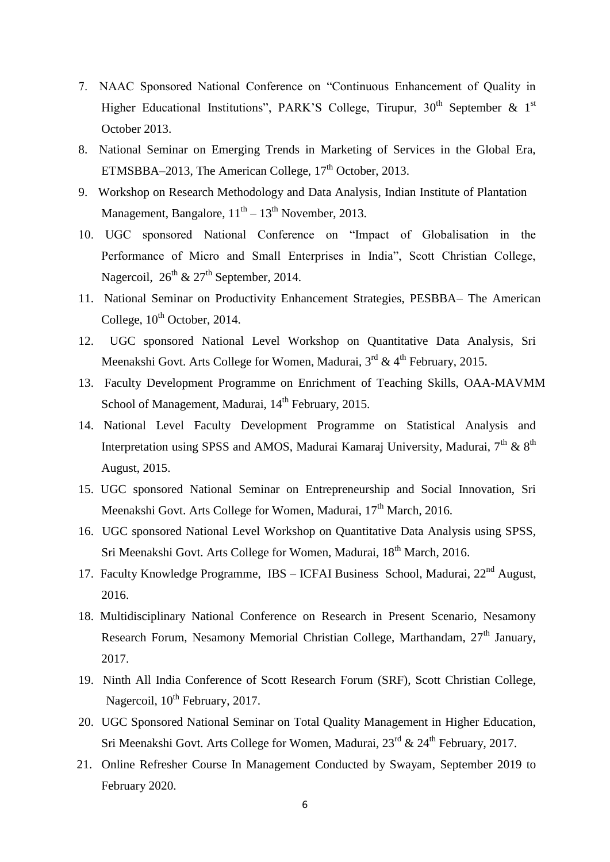- 7. NAAC Sponsored National Conference on "Continuous Enhancement of Quality in Higher Educational Institutions", PARK'S College, Tirupur,  $30<sup>th</sup>$  September & 1<sup>st</sup> October 2013.
- 8. National Seminar on Emerging Trends in Marketing of Services in the Global Era, ETMSBBA–2013, The American College,  $17<sup>th</sup>$  October, 2013.
- 9. Workshop on Research Methodology and Data Analysis, Indian Institute of Plantation Management, Bangalore,  $11<sup>th</sup> - 13<sup>th</sup>$  November, 2013.
- 10. UGC sponsored National Conference on "Impact of Globalisation in the Performance of Micro and Small Enterprises in India", Scott Christian College, Nagercoil,  $26^{th}$  &  $27^{th}$  September, 2014.
- 11. National Seminar on Productivity Enhancement Strategies, PESBBA– The American College,  $10^{th}$  October, 2014.
- 12. UGC sponsored National Level Workshop on Quantitative Data Analysis, Sri Meenakshi Govt. Arts College for Women, Madurai,  $3<sup>rd</sup> \& 4<sup>th</sup>$  February, 2015.
- 13. Faculty Development Programme on Enrichment of Teaching Skills, OAA-MAVMM School of Management, Madurai, 14<sup>th</sup> February, 2015.
- 14. National Level Faculty Development Programme on Statistical Analysis and Interpretation using SPSS and AMOS, Madurai Kamaraj University, Madurai,  $7<sup>th</sup>$  &  $8<sup>th</sup>$ August, 2015.
- 15. UGC sponsored National Seminar on Entrepreneurship and Social Innovation, Sri Meenakshi Govt. Arts College for Women, Madurai, 17<sup>th</sup> March, 2016.
- 16. UGC sponsored National Level Workshop on Quantitative Data Analysis using SPSS, Sri Meenakshi Govt. Arts College for Women, Madurai, 18<sup>th</sup> March, 2016.
- 17. Faculty Knowledge Programme, IBS ICFAI Business School, Madurai, 22<sup>nd</sup> August, 2016.
- 18. Multidisciplinary National Conference on Research in Present Scenario, Nesamony Research Forum, Nesamony Memorial Christian College, Marthandam, 27<sup>th</sup> January, 2017.
- 19. Ninth All India Conference of Scott Research Forum (SRF), Scott Christian College, Nagercoil,  $10^{th}$  February, 2017.
- 20. UGC Sponsored National Seminar on Total Quality Management in Higher Education, Sri Meenakshi Govt. Arts College for Women, Madurai,  $23^{rd}$  &  $24^{th}$  February, 2017.
- 21. Online Refresher Course In Management Conducted by Swayam, September 2019 to February 2020.